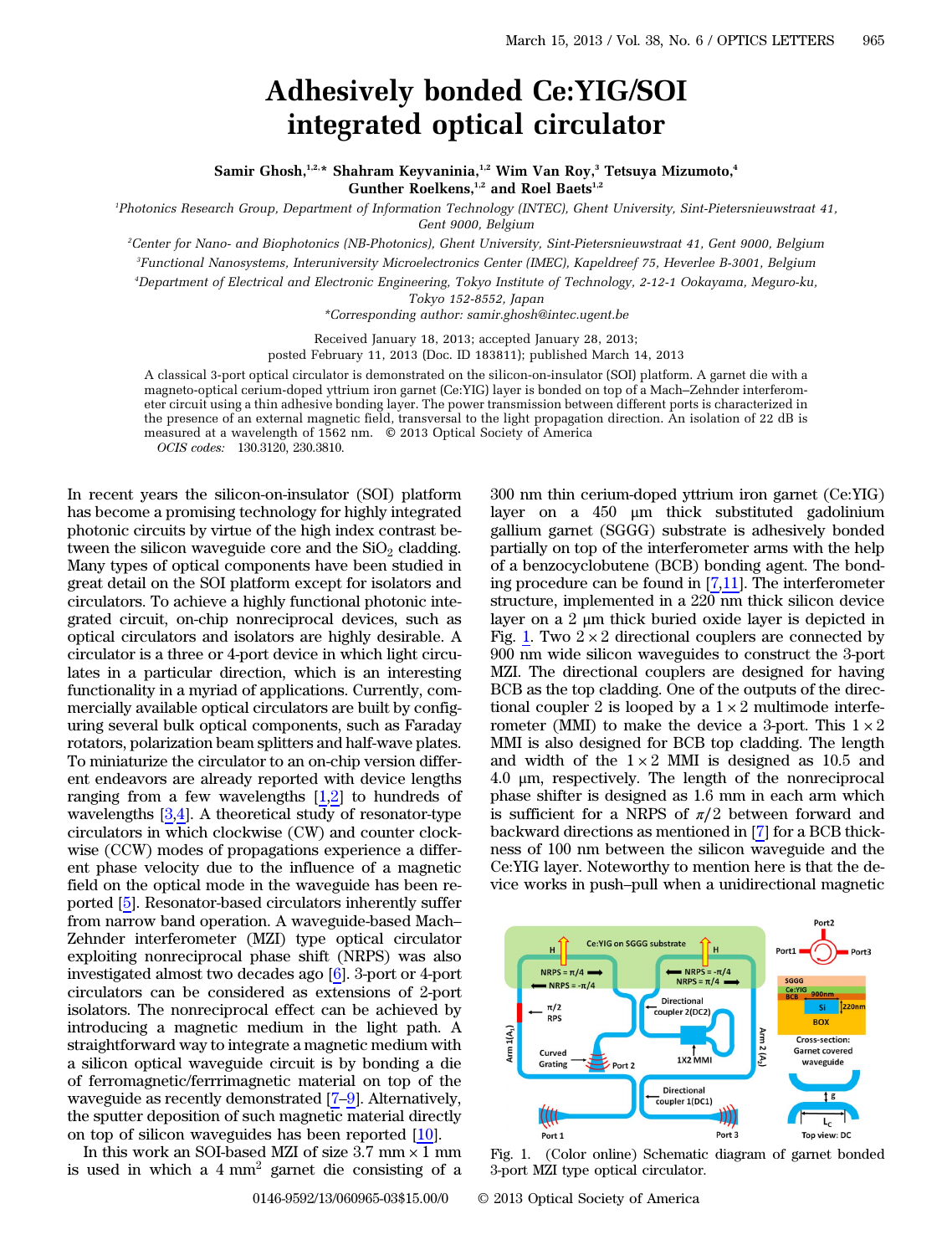## Adhesively bonded Ce:YIG/SOI integrated optical circulator

## Samir Ghosh,<sup>1,2,\*</sup> Shahram Keyvaninia,<sup>1,2</sup> Wim Van Roy,<sup>3</sup> Tetsuya Mizumoto,<sup>4</sup> Gunther Roelkens,<sup>1,2</sup> and Roel Baets<sup>1,2</sup>

1 Photonics Research Group, Department of Information Technology (INTEC), Ghent University, Sint-Pietersnieuwstraat 41, Gent 9000, Belgium

2 Center for Nano- and Biophotonics (NB-Photonics), Ghent University, Sint-Pietersnieuwstraat 41, Gent 9000, Belgium 3 Functional Nanosystems, Interuniversity Microelectronics Center (IMEC), Kapeldreef 75, Heverlee B-3001, Belgium

4 Department of Electrical and Electronic Engineering, Tokyo Institute of Technology, 2-12-1 Ookayama, Meguro-ku,

Tokyo 152-8552, Japan

\*Corresponding author: samir.ghosh@intec.ugent.be

Received January 18, 2013; accepted January 28, 2013;

posted February 11, 2013 (Doc. ID 183811); published March 14, 2013

A classical 3-port optical circulator is demonstrated on the silicon-on-insulator (SOI) platform. A garnet die with a magneto-optical cerium-doped yttrium iron garnet (Ce:YIG) layer is bonded on top of a Mach*–*Zehnder interferometer circuit using a thin adhesive bonding layer. The power transmission between different ports is characterized in the presence of an external magnetic field, transversal to the light propagation direction. An isolation of 22 dB is measured at a wavelength of 1562 nm. © 2013 Optical Society of America OCIS codes: 130.3120, 230.3810.

In recent years the silicon-on-insulator (SOI) platform has become a promising technology for highly integrated photonic circuits by virtue of the high index contrast between the silicon waveguide core and the  $SiO<sub>2</sub>$  cladding. Many types of optical components have been studied in great detail on the SOI platform except for isolators and circulators. To achieve a highly functional photonic integrated circuit, on-chip nonreciprocal devices, such as optical circulators and isolators are highly desirable. A circulator is a three or 4-port device in which light circulates in a particular direction, which is an interesting functionality in a myriad of applications. Currently, commercially available optical circulators are built by configuring several bulk optical components, such as Faraday rotators, polarization beam splitters and half-wave plates. To miniaturize the circulator to an on-chip version different endeavors are already reported with device lengths ranging from a few wavelengths  $[1,2]$  $[1,2]$  $[1,2]$  $[1,2]$  to hundreds of wavelengths [[3](#page-2-2)[,4](#page-2-3)]. A theoretical study of resonator-type circulators in which clockwise (CW) and counter clockwise (CCW) modes of propagations experience a different phase velocity due to the influence of a magnetic field on the optical mode in the waveguide has been reported [[5\]](#page-2-4). Resonator-based circulators inherently suffer from narrow band operation. A waveguide-based Mach– Zehnder interferometer (MZI) type optical circulator exploiting nonreciprocal phase shift (NRPS) was also investigated almost two decades ago [[6\]](#page-2-5). 3-port or 4-port circulators can be considered as extensions of 2-port isolators. The nonreciprocal effect can be achieved by introducing a magnetic medium in the light path. A straightforward way to integrate a magnetic medium with a silicon optical waveguide circuit is by bonding a die of ferromagnetic/ferrrimagnetic material on top of the waveguide as recently demonstrated [[7](#page-2-6)–[9\]](#page-2-7). Alternatively, the sputter deposition of such magnetic material directly on top of silicon waveguides has been reported [\[10](#page-2-8)].

In this work an SOI-based MZI of size  $3.7 \text{ mm} \times 1 \text{ mm}$ is used in which a  $4 \text{ mm}^2$  garnet die consisting of a

300 nm thin cerium-doped yttrium iron garnet (Ce:YIG) layer on a 450 μm thick substituted gadolinium gallium garnet (SGGG) substrate is adhesively bonded partially on top of the interferometer arms with the help of a benzocyclobutene (BCB) bonding agent. The bonding procedure can be found in [\[7](#page-2-6),[11\]](#page-2-9). The interferometer structure, implemented in a 220 nm thick silicon device layer on a 2 μm thick buried oxide layer is depicted in Fig. [1.](#page-0-0) Two  $2 \times 2$  directional couplers are connected by 900 nm wide silicon waveguides to construct the 3-port MZI. The directional couplers are designed for having BCB as the top cladding. One of the outputs of the directional coupler 2 is looped by a  $1 \times 2$  multimode interferometer (MMI) to make the device a 3-port. This  $1 \times 2$ MMI is also designed for BCB top cladding. The length and width of the  $1 \times 2$  MMI is designed as 10.5 and 4.0 μm, respectively. The length of the nonreciprocal phase shifter is designed as 1.6 mm in each arm which is sufficient for a NRPS of  $\pi/2$  between forward and backward directions as mentioned in [[7\]](#page-2-6) for a BCB thickness of 100 nm between the silicon waveguide and the Ce:YIG layer. Noteworthy to mention here is that the device works in push–pull when a unidirectional magnetic

<span id="page-0-0"></span>

Fig. 1. (Color online) Schematic diagram of garnet bonded 3-port MZI type optical circulator.

0146-9592/13/060965-03\$15.00/0 © 2013 Optical Society of America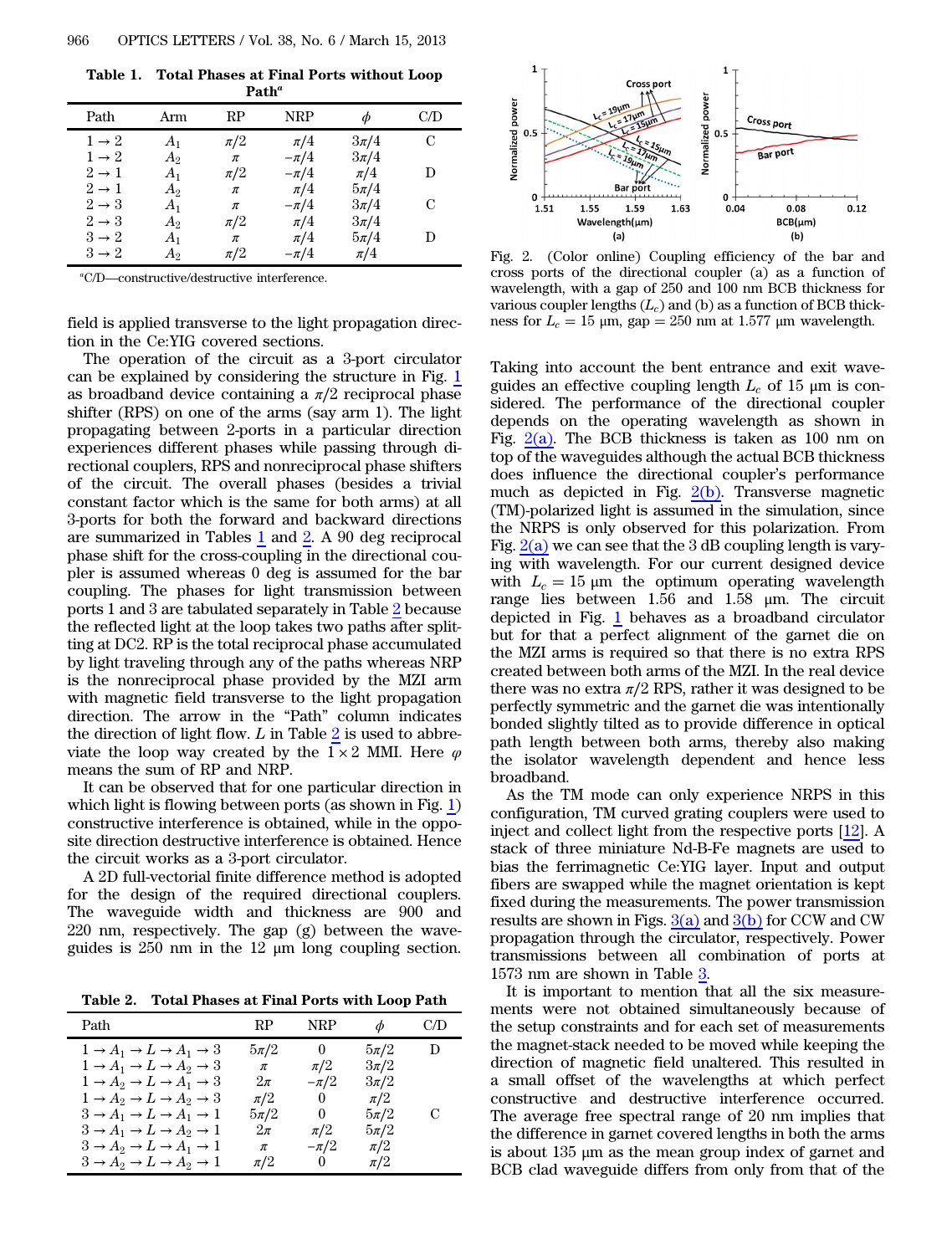<span id="page-1-0"></span>Table 1. Total Phases at Final Ports without Loop Path*<sup>a</sup>*

| Path              | Arm     | RP      | <b>NRP</b> | Φ        | C/D |  |  |
|-------------------|---------|---------|------------|----------|-----|--|--|
| $1 \rightarrow 2$ | $A_1$   | $\pi/2$ | $\pi/4$    | $3\pi/4$ | C   |  |  |
| $1 \rightarrow 2$ | $A_2$   | π       | $-\pi/4$   | $3\pi/4$ |     |  |  |
| $2 \rightarrow 1$ | $A_1$   | $\pi/2$ | $-\pi/4$   | $\pi/4$  | D   |  |  |
| $2 \rightarrow 1$ | $A_2$   | $\pi$   | $\pi/4$    | $5\pi/4$ |     |  |  |
| $2 \rightarrow 3$ | $A_1$   | π       | $-\pi/4$   | $3\pi/4$ | C   |  |  |
| $2 \rightarrow 3$ | $A_2$   | $\pi/2$ | $\pi/4$    | $3\pi/4$ |     |  |  |
| $3 \rightarrow 2$ | $A_1$   | $\pi$   | $\pi/4$    | $5\pi/4$ | D   |  |  |
| $3 \rightarrow 2$ | $A_2\,$ | $\pi/2$ | $-\pi/4$   | $\pi/4$  |     |  |  |
|                   |         |         |            |          |     |  |  |

a C/D—constructive/destructive interference.

field is applied transverse to the light propagation direction in the Ce:YIG covered sections.

The operation of the circuit as a 3-port circulator can be explained by considering the structure in Fig. [1](#page-0-0) as broadband device containing a  $\pi/2$  reciprocal phase shifter (RPS) on one of the arms (say arm 1). The light propagating between 2-ports in a particular direction experiences different phases while passing through directional couplers, RPS and nonreciprocal phase shifters of the circuit. The overall phases (besides a trivial constant factor which is the same for both arms) at all 3-ports for both the forward and backward directions are summarized in Tables [1](#page-1-0) and [2](#page-1-1). A 90 deg reciprocal phase shift for the cross-coupling in the directional coupler is assumed whereas 0 deg is assumed for the bar coupling. The phases for light transmission between ports 1 and 3 are tabulated separately in Table [2](#page-1-1) because the reflected light at the loop takes two paths after splitting at DC2. RP is the total reciprocal phase accumulated by light traveling through any of the paths whereas NRP is the nonreciprocal phase provided by the MZI arm with magnetic field transverse to the light propagation direction. The arrow in the "Path" column indicates the direction of light flow.  $L$  in Table  $2$  is used to abbreviate the loop way created by the  $1 \times 2$  MMI. Here  $\varphi$ means the sum of RP and NRP.

It can be observed that for one particular direction in which light is flowing between ports (as shown in Fig. [1](#page-0-0)) constructive interference is obtained, while in the opposite direction destructive interference is obtained. Hence the circuit works as a 3-port circulator.

A 2D full-vectorial finite difference method is adopted for the design of the required directional couplers. The waveguide width and thickness are 900 and 220 nm, respectively. The gap (g) between the waveguides is 250 nm in the 12 μm long coupling section.

<span id="page-1-1"></span>Table 2. Total Phases at Final Ports with Loop Path

| Path                                                            | RP.      | NRP      | Ф        | C/D |
|-----------------------------------------------------------------|----------|----------|----------|-----|
| $1 \rightarrow A_1 \rightarrow L \rightarrow A_1 \rightarrow 3$ | $5\pi/2$ | $\left($ | $5\pi/2$ | D   |
| $1 \rightarrow A_1 \rightarrow L \rightarrow A_2 \rightarrow 3$ | $\pi$    | $\pi/2$  | $3\pi/2$ |     |
| $1 \rightarrow A_2 \rightarrow L \rightarrow A_1 \rightarrow 3$ | $2\pi$   | $-\pi/2$ | $3\pi/2$ |     |
| $1 \rightarrow A_2 \rightarrow L \rightarrow A_2 \rightarrow 3$ | $\pi/2$  | 0        | $\pi/2$  |     |
| $3 \rightarrow A_1 \rightarrow L \rightarrow A_1 \rightarrow 1$ | $5\pi/2$ | $^{(1)}$ | $5\pi/2$ | С   |
| $3 \rightarrow A_1 \rightarrow L \rightarrow A_2 \rightarrow 1$ | $2\pi$   | $\pi/2$  | $5\pi/2$ |     |
| $3 \rightarrow A_2 \rightarrow L \rightarrow A_1 \rightarrow 1$ | $\pi$    | $-\pi/2$ | $\pi/2$  |     |
| $3 \rightarrow A_2 \rightarrow L \rightarrow A_2 \rightarrow 1$ | $\pi/2$  | 0        | $\pi/2$  |     |

<span id="page-1-2"></span>

Fig. 2. (Color online) Coupling efficiency of the bar and cross ports of the directional coupler (a) as a function of wavelength, with a gap of 250 and 100 nm BCB thickness for various coupler lengths  $(L_c)$  and (b) as a function of BCB thickness for  $L_c = 15 \mu m$ , gap = 250 nm at 1.577  $\mu$ m wavelength.

Taking into account the bent entrance and exit waveguides an effective coupling length  $L_c$  of 15  $\mu$ m is considered. The performance of the directional coupler depends on the operating wavelength as shown in Fig.  $2(a)$ . The BCB thickness is taken as 100 nm on top of the waveguides although the actual BCB thickness does influence the directional coupler's performance much as depicted in Fig.  $2(b)$ . Transverse magnetic (TM)-polarized light is assumed in the simulation, since the NRPS is only observed for this polarization. From Fig.  $2(a)$  we can see that the 3 dB coupling length is varying with wavelength. For our current designed device with  $L_c = 15 \mu m$  the optimum operating wavelength range lies between 1.56 and 1.58 μm. The circuit depicted in Fig. [1](#page-0-0) behaves as a broadband circulator but for that a perfect alignment of the garnet die on the MZI arms is required so that there is no extra RPS created between both arms of the MZI. In the real device there was no extra  $\pi/2$  RPS, rather it was designed to be perfectly symmetric and the garnet die was intentionally bonded slightly tilted as to provide difference in optical path length between both arms, thereby also making the isolator wavelength dependent and hence less broadband.

As the TM mode can only experience NRPS in this configuration, TM curved grating couplers were used to inject and collect light from the respective ports [\[12](#page-2-10)]. A stack of three miniature Nd-B-Fe magnets are used to bias the ferrimagnetic Ce:YIG layer. Input and output fibers are swapped while the magnet orientation is kept fixed during the measurements. The power transmission results are shown in Figs.  $3(a)$  and  $3(b)$  for CCW and CW propagation through the circulator, respectively. Power transmissions between all combination of ports at 1573 nm are shown in Table [3.](#page-2-12)

It is important to mention that all the six measurements were not obtained simultaneously because of the setup constraints and for each set of measurements the magnet-stack needed to be moved while keeping the direction of magnetic field unaltered. This resulted in a small offset of the wavelengths at which perfect constructive and destructive interference occurred. The average free spectral range of 20 nm implies that the difference in garnet covered lengths in both the arms is about 135 μm as the mean group index of garnet and BCB clad waveguide differs from only from that of the